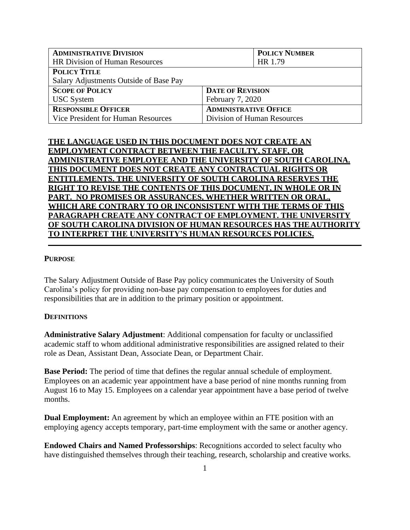| <b>ADMINISTRATIVE DIVISION</b>         |                              | <b>POLICY NUMBER</b> |
|----------------------------------------|------------------------------|----------------------|
| <b>HR Division of Human Resources</b>  |                              | HR 1.79              |
| <b>POLICY TITLE</b>                    |                              |                      |
| Salary Adjustments Outside of Base Pay |                              |                      |
| <b>SCOPE OF POLICY</b>                 | <b>DATE OF REVISION</b>      |                      |
| <b>USC</b> System                      | February 7, 2020             |                      |
| <b>RESPONSIBLE OFFICER</b>             | <b>ADMINISTRATIVE OFFICE</b> |                      |
| Vice President for Human Resources     | Division of Human Resources  |                      |

# **THE LANGUAGE USED IN THIS DOCUMENT DOES NOT CREATE AN EMPLOYMENT CONTRACT BETWEEN THE FACULTY, STAFF, OR ADMINISTRATIVE EMPLOYEE AND THE UNIVERSITY OF SOUTH CAROLINA. THIS DOCUMENT DOES NOT CREATE ANY CONTRACTUAL RIGHTS OR ENTITLEMENTS. THE UNIVERSITY OF SOUTH CAROLINA RESERVES THE RIGHT TO REVISE THE CONTENTS OF THIS DOCUMENT, IN WHOLE OR IN PART. NO PROMISES OR ASSURANCES, WHETHER WRITTEN OR ORAL, WHICH ARE CONTRARY TO OR INCONSISTENT WITH THE TERMS OF THIS PARAGRAPH CREATE ANY CONTRACT OF EMPLOYMENT. THE UNIVERSITY OF SOUTH CAROLINA DIVISION OF HUMAN RESOURCES HAS THEAUTHORITY TO INTERPRET THE UNIVERSITY'S HUMAN RESOURCES POLICIES.**

#### **PURPOSE**

The Salary Adjustment Outside of Base Pay policy communicates the University of South Carolina's policy for providing non-base pay compensation to employees for duties and responsibilities that are in addition to the primary position or appointment.

#### **DEFINITIONS**

**Administrative Salary Adjustment**: Additional compensation for faculty or unclassified academic staff to whom additional administrative responsibilities are assigned related to their role as Dean, Assistant Dean, Associate Dean, or Department Chair.

**Base Period:** The period of time that defines the regular annual schedule of employment. Employees on an academic year appointment have a base period of nine months running from August 16 to May 15. Employees on a calendar year appointment have a base period of twelve months.

**Dual Employment:** An agreement by which an employee within an FTE position with an employing agency accepts temporary, part-time employment with the same or another agency.

**Endowed Chairs and Named Professorships**: Recognitions accorded to select faculty who have distinguished themselves through their teaching, research, scholarship and creative works.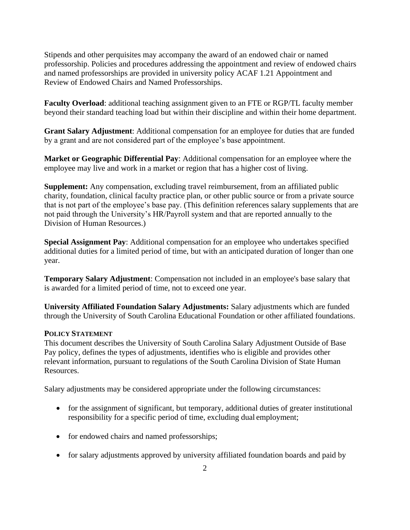Stipends and other perquisites may accompany the award of an endowed chair or named professorship. Policies and procedures addressing the appointment and review of endowed chairs and named professorships are provided in university policy ACAF 1.21 Appointment and Review of Endowed Chairs and Named Professorships.

**Faculty Overload**: additional teaching assignment given to an FTE or RGP/TL faculty member beyond their standard teaching load but within their discipline and within their home department.

**Grant Salary Adjustment**: Additional compensation for an employee for duties that are funded by a grant and are not considered part of the employee's base appointment.

**Market or Geographic Differential Pay**: Additional compensation for an employee where the employee may live and work in a market or region that has a higher cost of living.

**Supplement:** Any compensation, excluding travel reimbursement, from an affiliated public charity, foundation, clinical faculty practice plan, or other public source or from a private source that is not part of the employee's base pay. (This definition references salary supplements that are not paid through the University's HR/Payroll system and that are reported annually to the Division of Human Resources.)

**Special Assignment Pay**: Additional compensation for an employee who undertakes specified additional duties for a limited period of time, but with an anticipated duration of longer than one year.

**Temporary Salary Adjustment**: Compensation not included in an employee's base salary that is awarded for a limited period of time, not to exceed one year.

**University Affiliated Foundation Salary Adjustments:** Salary adjustments which are funded through the University of South Carolina Educational Foundation or other affiliated foundations.

### **POLICY STATEMENT**

This document describes the University of South Carolina Salary Adjustment Outside of Base Pay policy, defines the types of adjustments, identifies who is eligible and provides other relevant information, pursuant to regulations of the South Carolina Division of State Human Resources.

Salary adjustments may be considered appropriate under the following circumstances:

- for the assignment of significant, but temporary, additional duties of greater institutional responsibility for a specific period of time, excluding dual employment;
- for endowed chairs and named professorships;
- for salary adjustments approved by university affiliated foundation boards and paid by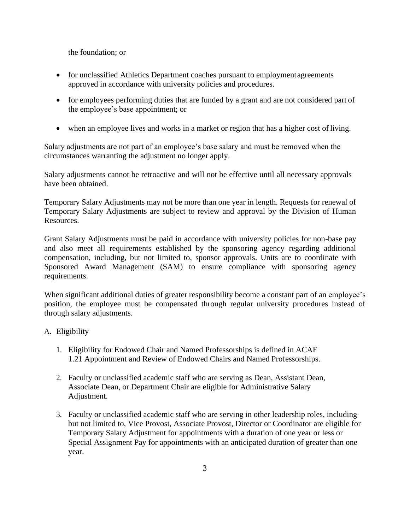the foundation; or

- for unclassified Athletics Department coaches pursuant to employment agreements approved in accordance with university policies and procedures.
- for employees performing duties that are funded by a grant and are not considered part of the employee's base appointment; or
- when an employee lives and works in a market or region that has a higher cost of living.

Salary adjustments are not part of an employee's base salary and must be removed when the circumstances warranting the adjustment no longer apply.

Salary adjustments cannot be retroactive and will not be effective until all necessary approvals have been obtained.

Temporary Salary Adjustments may not be more than one year in length. Requests for renewal of Temporary Salary Adjustments are subject to review and approval by the Division of Human Resources.

Grant Salary Adjustments must be paid in accordance with university policies for non-base pay and also meet all requirements established by the sponsoring agency regarding additional compensation, including, but not limited to, sponsor approvals. Units are to coordinate with Sponsored Award Management (SAM) to ensure compliance with sponsoring agency requirements.

When significant additional duties of greater responsibility become a constant part of an employee's position, the employee must be compensated through regular university procedures instead of through salary adjustments.

### A. Eligibility

- 1. Eligibility for Endowed Chair and Named Professorships is defined in ACAF 1.21 Appointment and Review of Endowed Chairs and Named Professorships.
- 2. Faculty or unclassified academic staff who are serving as Dean, Assistant Dean, Associate Dean, or Department Chair are eligible for Administrative Salary Adjustment.
- 3. Faculty or unclassified academic staff who are serving in other leadership roles, including but not limited to, Vice Provost, Associate Provost, Director or Coordinator are eligible for Temporary Salary Adjustment for appointments with a duration of one year or less or Special Assignment Pay for appointments with an anticipated duration of greater than one year.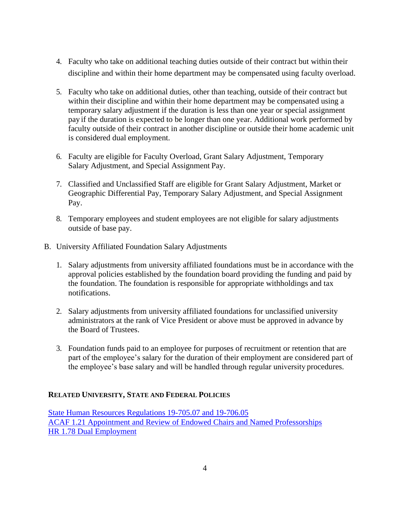- 4. Faculty who take on additional teaching duties outside of their contract but within their discipline and within their home department may be compensated using faculty overload.
- 5. Faculty who take on additional duties, other than teaching, outside of their contract but within their discipline and within their home department may be compensated using a temporary salary adjustment if the duration is less than one year or special assignment pay if the duration is expected to be longer than one year. Additional work performed by faculty outside of their contract in another discipline or outside their home academic unit is considered dual employment.
- 6. Faculty are eligible for Faculty Overload, Grant Salary Adjustment, Temporary Salary Adjustment, and Special Assignment Pay.
- 7. Classified and Unclassified Staff are eligible for Grant Salary Adjustment, Market or Geographic Differential Pay, Temporary Salary Adjustment, and Special Assignment Pay.
- 8. Temporary employees and student employees are not eligible for salary adjustments outside of base pay.
- B. University Affiliated Foundation Salary Adjustments
	- 1. Salary adjustments from university affiliated foundations must be in accordance with the approval policies established by the foundation board providing the funding and paid by the foundation. The foundation is responsible for appropriate withholdings and tax notifications.
	- 2. Salary adjustments from university affiliated foundations for unclassified university administrators at the rank of Vice President or above must be approved in advance by the Board of Trustees.
	- 3. Foundation funds paid to an employee for purposes of recruitment or retention that are part of the employee's salary for the duration of their employment are considered part of the employee's base salary and will be handled through regular university procedures.

### **RELATED UNIVERSITY, STATE AND FEDERAL POLICIES**

[State Human Resources Regulations 19-705.07 and 19-706.05](https://admin.sc.gov/files/2016%20HR%20Regulations-Combined%20Website%20Version.pdf) [ACAF 1.21 Appointment and Review of Endowed Chairs and Named Professorships](http://www.sc.edu/policies/ppm/acaf121.pdf) [HR 1.78 Dual Employment](http://www.sc.edu/policies/ppm/hr178.pdf)